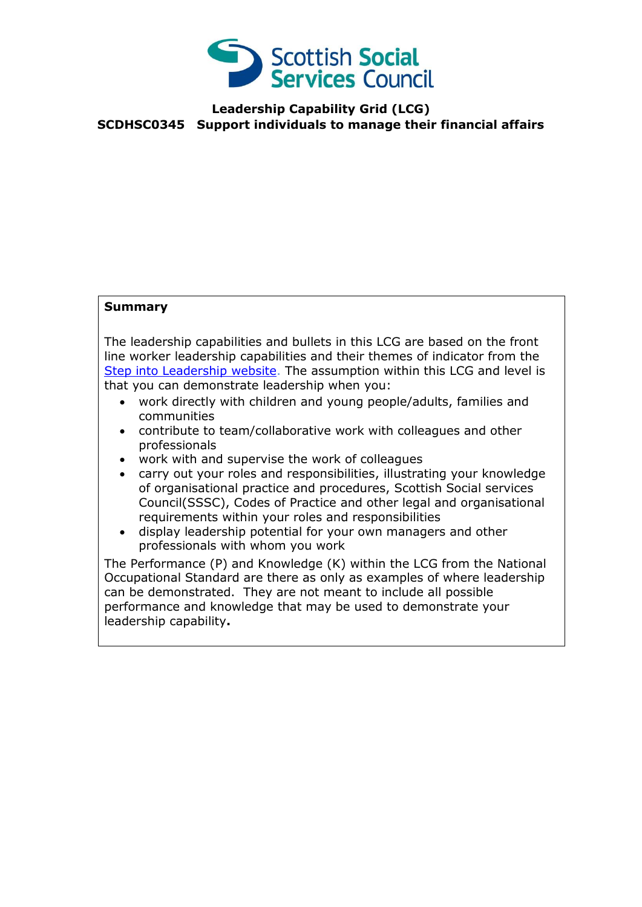

#### **Leadership Capability Grid (LCG) SCDHSC0345 Support individuals to manage their financial affairs**

#### **Summary**

The leadership capabilities and bullets in this LCG are based on the front line worker leadership capabilities and their themes of indicator from the [Step into Leadership website.](http://www.stepintoleadership.info/) The assumption within this LCG and level is that you can demonstrate leadership when you:

- work directly with children and young people/adults, families and communities
- contribute to team/collaborative work with colleagues and other professionals
- work with and supervise the work of colleagues
- carry out your roles and responsibilities, illustrating your knowledge of organisational practice and procedures, Scottish Social services Council(SSSC), Codes of Practice and other legal and organisational requirements within your roles and responsibilities
- display leadership potential for your own managers and other professionals with whom you work

The Performance (P) and Knowledge (K) within the LCG from the National Occupational Standard are there as only as examples of where leadership can be demonstrated. They are not meant to include all possible performance and knowledge that may be used to demonstrate your leadership capability**.**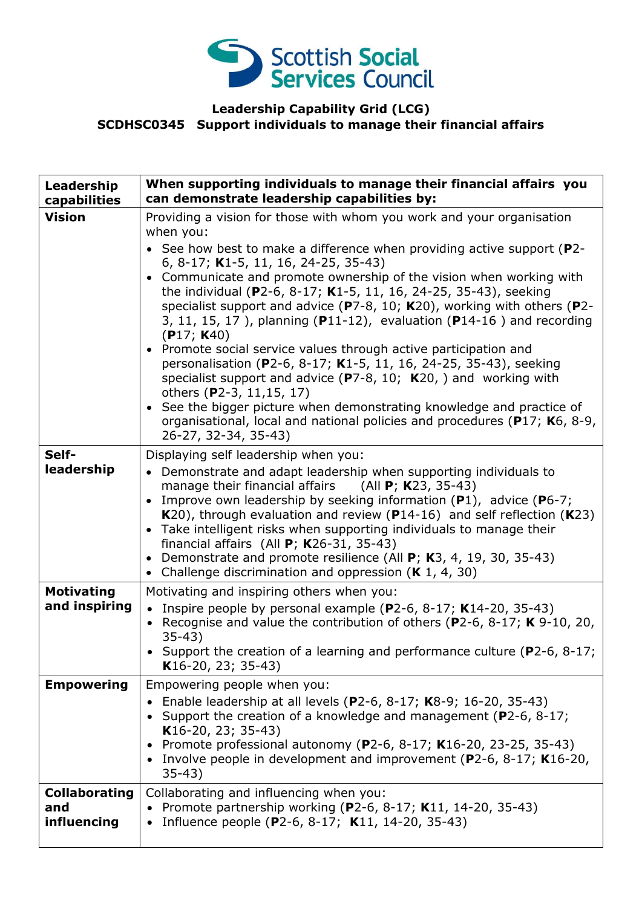

# **Leadership Capability Grid (LCG) SCDHSC0345 Support individuals to manage their financial affairs**

| Leadership<br>capabilities                 | When supporting individuals to manage their financial affairs you<br>can demonstrate leadership capabilities by:                                                                                                                                                                                                                                                                                                                                                                                                                                                                                                                                                                                                                                                                                                                                                                                                                                     |
|--------------------------------------------|------------------------------------------------------------------------------------------------------------------------------------------------------------------------------------------------------------------------------------------------------------------------------------------------------------------------------------------------------------------------------------------------------------------------------------------------------------------------------------------------------------------------------------------------------------------------------------------------------------------------------------------------------------------------------------------------------------------------------------------------------------------------------------------------------------------------------------------------------------------------------------------------------------------------------------------------------|
| <b>Vision</b>                              | Providing a vision for those with whom you work and your organisation<br>when you:<br>• See how best to make a difference when providing active support ( $P2$ -<br>6, 8-17; K1-5, 11, 16, 24-25, 35-43)<br>Communicate and promote ownership of the vision when working with<br>the individual (P2-6, 8-17; K1-5, 11, 16, 24-25, 35-43), seeking<br>specialist support and advice ( $P7-8$ , 10; K20), working with others ( $P2-$<br>3, 11, 15, 17), planning (P11-12), evaluation (P14-16) and recording<br>(P17; K40)<br>• Promote social service values through active participation and<br>personalisation (P2-6, 8-17; K1-5, 11, 16, 24-25, 35-43), seeking<br>specialist support and advice ( $P7-8$ , 10; K20, ) and working with<br>others (P2-3, 11,15, 17)<br>• See the bigger picture when demonstrating knowledge and practice of<br>organisational, local and national policies and procedures (P17; K6, 8-9,<br>26-27, 32-34, 35-43) |
| Self-<br>leadership                        | Displaying self leadership when you:<br>• Demonstrate and adapt leadership when supporting individuals to<br>manage their financial affairs (All $P$ ; K23, 35-43)<br>Improve own leadership by seeking information $(P1)$ , advice $(P6-7)$ ;<br>$\bullet$<br>K20), through evaluation and review (P14-16) and self reflection (K23)<br>• Take intelligent risks when supporting individuals to manage their<br>financial affairs (All $P$ ; K26-31, 35-43)<br>Demonstrate and promote resilience (All P; K3, 4, 19, 30, 35-43)<br>$\bullet$<br>Challenge discrimination and oppression $(K 1, 4, 30)$<br>$\bullet$                                                                                                                                                                                                                                                                                                                                 |
| <b>Motivating</b><br>and inspiring         | Motivating and inspiring others when you:<br>• Inspire people by personal example (P2-6, 8-17; K14-20, 35-43)<br>• Recognise and value the contribution of others (P2-6, 8-17; K 9-10, 20,<br>$35-43)$<br>• Support the creation of a learning and performance culture ( $P2-6$ , $8-17$ ;<br>K16-20, 23; 35-43)                                                                                                                                                                                                                                                                                                                                                                                                                                                                                                                                                                                                                                     |
| <b>Empowering</b>                          | Empowering people when you:<br>Enable leadership at all levels (P2-6, 8-17; K8-9; 16-20, 35-43)<br>• Support the creation of a knowledge and management (P2-6, 8-17;<br>K16-20, 23; 35-43)<br>Promote professional autonomy (P2-6, 8-17; K16-20, 23-25, 35-43)<br>$\bullet$<br>Involve people in development and improvement ( $P2-6$ , $8-17$ ; K16-20,<br>$35-43)$                                                                                                                                                                                                                                                                                                                                                                                                                                                                                                                                                                                 |
| <b>Collaborating</b><br>and<br>influencing | Collaborating and influencing when you:<br>• Promote partnership working (P2-6, 8-17; K11, 14-20, 35-43)<br>Influence people (P2-6, 8-17; K11, 14-20, 35-43)                                                                                                                                                                                                                                                                                                                                                                                                                                                                                                                                                                                                                                                                                                                                                                                         |